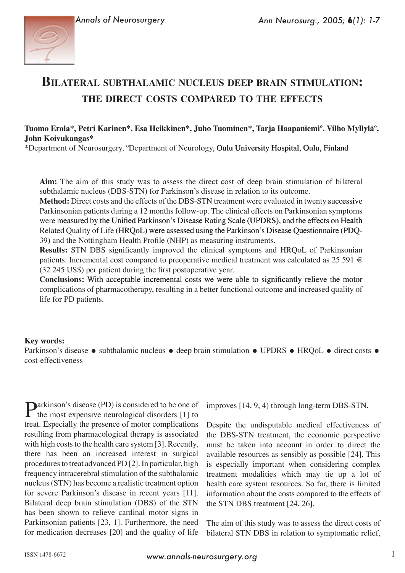

# **BILATERAL SUBTHALAMIC NUCLEUS DEEP BRAIN STIMULATION:** THE DIRECT COSTS COMPARED TO THE EFFECTS

## Tuomo Erola\*, Petri Karinen\*, Esa Heikkinen\*, Juho Tuominen\*, Tarja Haapaniemi°, Vilho Myllylä°, John Koivukangas\*

\*Department of Neurosurgery, °Department of Neurology, Oulu University Hospital, Oulu, Finland

Aim: The aim of this study was to assess the direct cost of deep brain stimulation of bilateral subthalamic nucleus (DBS-STN) for Parkinson's disease in relation to its outcome.

Method: Direct costs and the effects of the DBS-STN treatment were evaluated in twenty successive Parkinsonian patients during a 12 months follow-up. The clinical effects on Parkinsonian symptoms were measured by the Unified Parkinson's Disease Rating Scale (UPDRS), and the effects on Health Related Quality of Life (HRQoL) were assessed using the Parkinson's Disease Questionnaire (PDQ-39) and the Nottingham Health Profile (NHP) as measuring instruments.

**Results:** STN DBS significantly improved the clinical symptoms and HRQoL of Parkinsonian patients. Incremental cost compared to preoperative medical treatment was calculated as 25 591  $\in$ (32 245 US\$) per patient during the first postoperative year.

Conclusions: With acceptable incremental costs we were able to significantly relieve the motor complications of pharmacotherapy, resulting in a better functional outcome and increased quality of life for PD patients.

#### **Key words:**

Parkinson's disease • subthalamic nucleus • deep brain stimulation • UPDRS • HRQoL • direct costs • cost-effectiveness

**Darkinson's disease (PD)** is considered to be one of T the most expensive neurological disorders [1] to treat. Especially the presence of motor complications resulting from pharmacological therapy is associated with high costs to the health care system [3]. Recently, there has been an increased interest in surgical procedures to treat advanced PD [2]. In particular, high frequency intracerebral stimulation of the subthalamic nucleus (STN) has become a realistic treatment option for severe Parkinson's disease in recent years [11]. Bilateral deep brain stimulation (DBS) of the STN has been shown to relieve cardinal motor signs in Parkinsonian patients [23, 1]. Furthermore, the need for medication decreases [20] and the quality of life

improves [14, 9, 4) through long-term DBS-STN.

Despite the undisputable medical effectiveness of the DBS-STN treatment, the economic perspective must be taken into account in order to direct the available resources as sensibly as possible [24]. This is especially important when considering complex treatment modalities which may tie up a lot of health care system resources. So far, there is limited information about the costs compared to the effects of the STN DBS treatment [24, 26].

The aim of this study was to assess the direct costs of bilateral STN DBS in relation to symptomatic relief,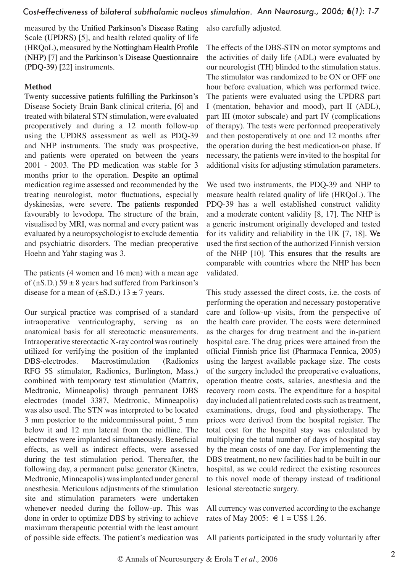measured by the Unified Parkinson's Disease Rating Scale (UPDRS) [[5\]](#page-5-7), and health related quality of life  $(HRQoL)$ , measured by the Nottingham Health Profile  $(NHP)$  [[7](#page-5-8)] and the Parkinson's Disease Questionnaire  $(PDQ-39)$   $[22]$  $[22]$  instruments.

## **Method**

Twenty successive patients fulfilling the Parkinson's Disease Society Brain Bank clinical criteria, [\[6](#page-5-10)] and treated with bilateral STN stimulation, were evaluated preoperatively and during a 12 month follow-up using the UPDRS assessment as well as PDQ-39 and NHP instruments. The study was prospective, and patients were operated on between the years 2001 - 2003. The PD medication was stable for 3 months prior to the operation. Despite an optimal medication regime assessed and recommended by the treating neurologist, motor fluctuations, especially dyskinesias, were severe. The patients responded favourably to levodopa. The structure of the brain, visualised by MRI, was normal and every patient was evaluated by a neuropsychologist to exclude dementia and psychiatric disorders. The median preoperative Hoehn and Yahr staging was 3.

The patients (4 women and 16 men) with a mean age of ( $\pm$ S.D.) 59  $\pm$  8 years had suffered from Parkinson's disease for a mean of  $(\pm S.D.)$  13  $\pm$  7 years.

Our surgical practice was comprised of a standard intraoperative ventriculography, serving as an anatomical basis for all stereotactic measurements. Intraoperative stereotactic X-ray control was routinely utilized for verifying the position of the implanted DBS-electrodes. Macrostimulation (Radionics RFG 5S stimulator, Radionics, Burlington, Mass.) combined with temporary test stimulation (Mattrix, Medtronic, Minneapolis) through permanent DBS electrodes (model 3387, Medtronic, Minneapolis) was also used. The STN was interpreted to be located 3 mm posterior to the midcommissural point, 5 mm below it and 12 mm lateral from the midline. The electrodes were implanted simultaneously. Beneficial effects, as well as indirect effects, were assessed during the test stimulation period. Thereafter, the following day, a permanent pulse generator (Kinetra, Medtronic, Minneapolis) was implanted under general anesthesia. Meticulous adjustments of the stimulation site and stimulation parameters were undertaken whenever needed during the follow-up. This was done in order to optimize DBS by striving to achieve maximum therapeutic potential with the least amount of possible side effects. The patient's medication was also carefully adjusted.

The effects of the DBS-STN on motor symptoms and the activities of daily life (ADL) were evaluated by our neurologist (TH) blinded to the stimulation status. The stimulator was randomized to be ON or OFF one hour before evaluation, which was performed twice. The patients were evaluated using the UPDRS part I (mentation, behavior and mood), part II (ADL), part III (motor subscale) and part IV (complications of therapy). The tests were performed preoperatively and then postoperatively at one and 12 months after the operation during the best medication-on phase. If necessary, the patients were invited to the hospital for additional visits for adjusting stimulation parameters.

We used two instruments, the PDQ-39 and NHP to measure health related quality of life (HRQoL). The PDQ-39 has a well established construct validity and a moderate content validity [[8,](#page-5-11) [17\]](#page-5-12). The NHP is a generic instrument originally developed and tested for its validity and reliability in the UK [[7,](#page-5-8) [18\]](#page-5-13). �e used the first section of the authorized Finnish version of the NHP [\[10](#page-5-14)]. This ensures that the results are comparable with countries where the NHP has been validated.

This study assessed the direct costs, i.e. the costs of performing the operation and necessary postoperative care and follow-up visits, from the perspective of the health care provider. The costs were determined as the charges for drug treatment and the in-patient hospital care. The drug prices were attained from the official Finnish price list (Pharmaca Fennica, 2005) using the largest available package size. The costs of the surgery included the preoperative evaluations, operation theatre costs, salaries, anesthesia and the recovery room costs. The expenditure for a hospital day included all patient related costs such as treatment, examinations, drugs, food and physiotherapy. The prices were derived from the hospital register. The total cost for the hospital stay was calculated by multiplying the total number of days of hospital stay by the mean costs of one day. For implementing the DBS treatment, no new facilities had to be built in our hospital, as we could redirect the existing resources to this novel mode of therapy instead of traditional lesional stereotactic surgery.

All currency was converted according to the exchange rates of May 2005: € 1 = US\$ 1.26.

All patients participated in the study voluntarily after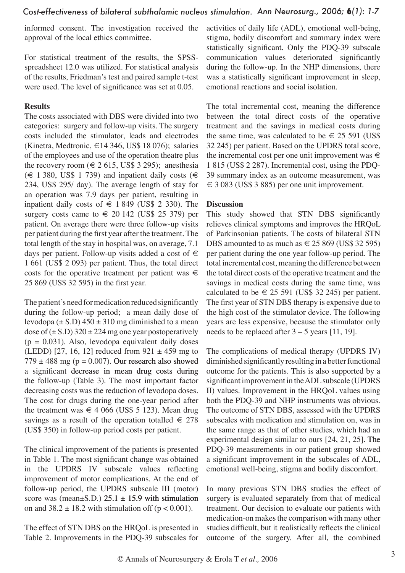informed consent. The investigation received the approval of the local ethics committee.

For statistical treatment of the results, the SPSSspreadsheet 12.0 was utilized. For statistical analysis of the results, Friedman's test and paired sample t-test were used. The level of significance was set at 0.05.

### **Results**

The costs associated with DBS were divided into two categories: surgery and follow-up visits. The surgery costs included the stimulator, leads and electrodes (Kinetra, Medtronic,  $\in$  14 346, US\$ 18 076); salaries of the employees and use of the operation theatre plus the recovery room ( $\in$  2 615, US\$ 3 295); anesthesia  $(\epsilon$  1 380, US\$ 1 739) and inpatient daily costs (€ 234, US\$ 295/ day). The average length of stay for an operation was 7.9 days per patient, resulting in inpatient daily costs of  $\in$  1 849 (US\$ 2 330). The surgery costs came to  $\in$  20 142 (US\$ 25 379) per patient. On average there were three follow-up visits per patient during the first year after the treatment. The total length of the stay in hospital was, on average, 7.1 days per patient. Follow-up visits added a cost of  $\epsilon$ 1 661 (US\$ 2 093) per patient. Thus, the total direct costs for the operative treatment per patient was  $\in$ 25 869 (US\$ 32 595) in the first year.

The patient's need for medication reduced significantly during the follow-up period; a mean daily dose of levodopa ( $\pm$  S.D) 450  $\pm$  310 mg diminished to a mean dose of  $(\pm S.D)$  320  $\pm$  224 mg one year postoperatively  $(p = 0.031)$ . Also, levodopa equivalent daily doses (LEDD) [27, 16, 12] reduced from  $921 \pm 459$  mg to  $779 \pm 488$  mg (p = 0.007). Our research also showed a significant decrease in mean drug costs during the follow-up ([Table 3\)](#page-3-0). The most important factor decreasing costs was the reduction of levodopa doses. The cost for drugs during the one-year period after the treatment was  $\in$  4 066 (US\$ 5 123). Mean drug savings as a result of the operation totalled  $\in$  278 (US\$ 350) in follow-up period costs per patient.

The clinical improvement of the patients is presented in [Table 1](#page-3-1). The most significant change was obtained in the UPDRS IV subscale values reflecting improvement of motor complications. At the end of follow-up period, the UPDRS subscale III (motor) score was (mean $\pm$ S.D.) 25.1  $\pm$  15.9 with stimulation on and  $38.2 \pm 18.2$  with stimulation off (p < 0.001).

The effect of STN DBS on the HRQoL is presented in [Table 2](#page-3-2). Improvements in the PDQ-39 subscales for activities of daily life (ADL), emotional well-being, stigma, bodily discomfort and summary index were statistically significant. Only the PDQ-39 subscale communication values deteriorated significantly during the follow-up. In the NHP dimensions, there was a statistically significant improvement in sleep, emotional reactions and social isolation.

The total incremental cost, meaning the difference between the total direct costs of the operative treatment and the savings in medical costs during the same time, was calculated to be  $\epsilon \leq 25591$  (US\$) 32 245) per patient. Based on the UPDRS total score, the incremental cost per one unit improvement was  $\in$ 1 815 (US\$ 2 287). Incremental cost, using the PDQ-39 summary index as an outcome measurement, was  $\epsilon$  3 083 (US\$ 3 885) per one unit improvement.

## **Discussion**

This study showed that STN DBS significantly relieves clinical symptoms and improves the HRQoL of Parkinsonian patients. The costs of bilateral STN DBS amounted to as much as  $\in$  25 869 (US\$ 32 595) per patient during the one year follow-up period. The total incremental cost, meaning the difference between the total direct costs of the operative treatment and the savings in medical costs during the same time, was calculated to be  $\in$  25 591 (US\$ 32 245) per patient. The first year of STN DBS therapy is expensive due to the high cost of the stimulator device. The following years are less expensive, because the stimulator only needs to be replaced after  $3 - 5$  years [[11](#page-5-2), [19](#page-5-15)].

The complications of medical therapy (UPDRS IV) diminished significantly resulting in a better functional outcome for the patients. This is also supported by a significant improvement in the ADL subscale (UPDRS II) values. Improvement in the HRQoL values using both the PDQ-39 and NHP instruments was obvious. The outcome of STN DBS, assessed with the UPDRS subscales with medication and stimulation on, was in the same range as that of other studies, which had an experimental design similar to ours [[24,](#page-6-1) [21](#page-5-16), [25](#page-6-3)]. The PDQ-39 measurements in our patient group showed a significant improvement in the subscales of ADL, emotional well-being, stigma and bodily discomfort.

In many previous STN DBS studies the effect of surgery is evaluated separately from that of medical treatment. Our decision to evaluate our patients with medication-on makes the comparison with many other studies difficult, but it realistically reflects the clinical outcome of the surgery. After all, the combined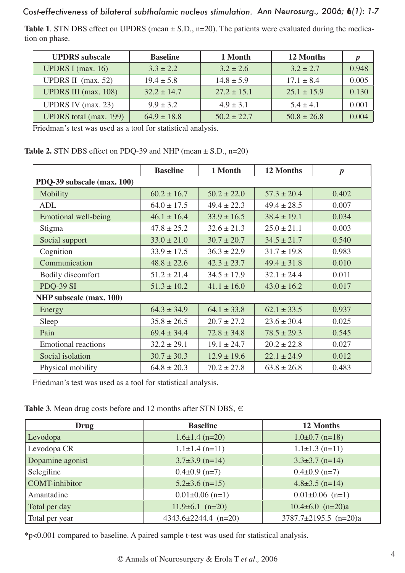<span id="page-3-1"></span>**Table 1.** STN DBS effect on UPDRS (mean  $\pm$  S.D., n=20). The patients were evaluated during the medication on phase.

| <b>UPDRS</b> subscale         | <b>Baseline</b> | 1 Month         | 12 Months       |       |
|-------------------------------|-----------------|-----------------|-----------------|-------|
| UPDRS I (max. $16$ )          | $3.3 \pm 2.2$   | $3.2 \pm 2.6$   | $3.2 \pm 2.7$   | 0.948 |
| UPDRS II $(max. 52)$          | $19.4 \pm 5.8$  | $14.8 \pm 5.9$  | $17.1 \pm 8.4$  | 0.005 |
| <b>UPDRS III</b> (max. 108)   | $32.2 \pm 14.7$ | $27.2 \pm 15.1$ | $25.1 \pm 15.9$ | 0.130 |
| UPDRS IV $(max. 23)$          | $9.9 \pm 3.2$   | $4.9 \pm 3.1$   | $5.4 + 4.1$     | 0.001 |
| <b>UPDRS</b> total (max. 199) | $64.9 \pm 18.8$ | $50.2 \pm 22.7$ | $50.8 \pm 26.8$ | 0.004 |

Friedman's test was used as a tool for statistical analysis.

<span id="page-3-2"></span>

| <b>Table 2.</b> STN DBS effect on PDQ-39 and NHP (mean $\pm$ S.D., n=20) |  |
|--------------------------------------------------------------------------|--|
|--------------------------------------------------------------------------|--|

|                                | <b>Baseline</b> | 1 Month         | 12 Months       | $\boldsymbol{p}$ |  |
|--------------------------------|-----------------|-----------------|-----------------|------------------|--|
| PDQ-39 subscale (max. 100)     |                 |                 |                 |                  |  |
| Mobility                       | $60.2 \pm 16.7$ | $50.2 \pm 22.0$ | $57.3 \pm 20.4$ | 0.402            |  |
| <b>ADL</b>                     | $64.0 \pm 17.5$ | $49.4 \pm 22.3$ | $49.4 \pm 28.5$ | 0.007            |  |
| Emotional well-being           | $46.1 \pm 16.4$ | $33.9 \pm 16.5$ | $38.4 \pm 19.1$ | 0.034            |  |
| Stigma                         | $47.8 \pm 25.2$ | $32.6 \pm 21.3$ | $25.0 \pm 21.1$ | 0.003            |  |
| Social support                 | $33.0 \pm 21.0$ | $30.7 \pm 20.7$ | $34.5 \pm 21.7$ | 0.540            |  |
| Cognition                      | $33.9 \pm 17.5$ | $36.3 \pm 22.9$ | $31.7 \pm 19.8$ | 0.983            |  |
| Communication                  | $48.8 \pm 22.6$ | $42.3 \pm 23.7$ | $49.4 \pm 31.8$ | 0.010            |  |
| Bodily discomfort              | $51.2 \pm 21.4$ | $34.5 \pm 17.9$ | $32.1 \pm 24.4$ | 0.011            |  |
| PDQ-39 SI                      | $51.3 \pm 10.2$ | $41.1 \pm 16.0$ | $43.0 \pm 16.2$ | 0.017            |  |
| <b>NHP</b> subscale (max. 100) |                 |                 |                 |                  |  |
| Energy                         | $64.3 \pm 34.9$ | $64.1 \pm 33.8$ | $62.1 \pm 33.5$ | 0.937            |  |
| Sleep                          | $35.8 \pm 26.5$ | $20.7 \pm 27.2$ | $23.6 \pm 30.4$ | 0.025            |  |
| Pain                           | $69.4 \pm 34.4$ | $72.8 \pm 34.8$ | $78.5 \pm 29.3$ | 0.545            |  |
| <b>Emotional reactions</b>     | $32.2 \pm 29.1$ | $19.1 \pm 24.7$ | $20.2 \pm 22.8$ | 0.027            |  |
| Social isolation               | $30.7 \pm 30.3$ | $12.9 \pm 19.6$ | $22.1 \pm 24.9$ | 0.012            |  |
| Physical mobility              | $64.8 \pm 20.3$ | $70.2 \pm 27.8$ | $63.8 \pm 26.8$ | 0.483            |  |

Friedman's test was used as a tool for statistical analysis.

<span id="page-3-0"></span>**[Table 3](#page-4-0)**. Mean drug costs before and 12 months after STN DBS, €

| Drug                  | <b>Baseline</b>            | 12 Months                   |  |
|-----------------------|----------------------------|-----------------------------|--|
| Levodopa              | $1.6 \pm 1.4$ (n=20)       | $1.0\pm0.7$ (n=18)          |  |
| Levodopa CR           | $1.1 \pm 1.4$ (n=11)       | $1.1 \pm 1.3$ (n=11)        |  |
| Dopamine agonist      | $3.7\pm3.9$ (n=14)         | $3.3\pm3.7$ (n=14)          |  |
| Selegiline            | $0.4\pm0.9$ (n=7)          | $0.4\pm0.9$ (n=7)           |  |
| <b>COMT-inhibitor</b> | $5.2\pm3.6$ (n=15)         | $4.8 \pm 3.5$ (n=14)        |  |
| Amantadine            | $0.01 \pm 0.06$ (n=1)      | $0.01 \pm 0.06$ (n=1)       |  |
| Total per day         | $11.9\pm 6.1$ (n=20)       | $10.4\pm 6.0$ (n=20)a       |  |
| Total per year        | $4343.6 \pm 2244.4$ (n=20) | $3787.7 \pm 2195.5$ (n=20)a |  |

\*p<0.001 compared to baseline. A paired sample t-test was used for statistical analysis.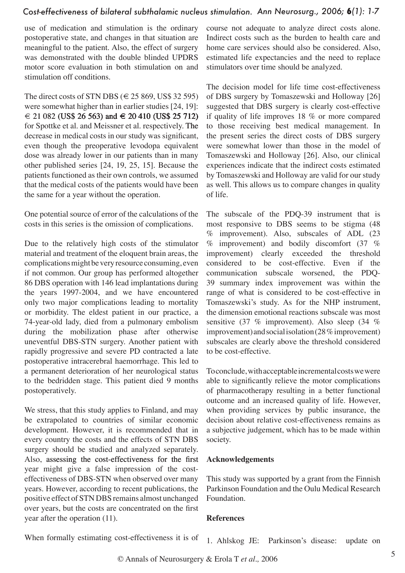use of medication and stimulation is the ordinary postoperative state, and changes in that situation are meaningful to the patient. Also, the effect of surgery was demonstrated with the double blinded UPDRS motor score evaluation in both stimulation on and stimulation off conditions.

The direct costs of STN DBS ( $\in$  25 869, US\$ 32 595) were somewhat higher than in earlier studies [24, 19]:  $\in$  21 082 (US\$ 26 563) and  $\in$  20 410 (US\$ 25 712) for Spottke et al. and Meissner et al. respectively. The decrease in medical costs in our study was significant, even though the preoperative levodopa equivalent dose was already lower in our patients than in many other published series [[24,](#page-6-1) [19,](#page-5-15) [25](#page-6-3), [15](#page-5-17)]. Because the patients functioned as their own controls, we assumed that the medical costs of the patients would have been the same for a year without the operation.

One potential source of error of the calculations of the costs in this series is the omission of complications.

Due to the relatively high costs of the stimulator material and treatment of the eloquent brain areas, the complications might be very resource consuming, even if not common. Our group has performed altogether 86 DBS operation with 146 lead implantations during the years 1997-2004, and we have encountered only two major complications leading to mortality or morbidity. The eldest patient in our practice, a 74-year-old lady, died from a pulmonary embolism during the mobilization phase after otherwise uneventful DBS-STN surgery. Another patient with rapidly progressive and severe PD contracted a late postoperative intracerebral haemorrhage. This led to a permanent deterioration of her neurological status to the bedridden stage. This patient died 9 months postoperatively.

We stress, that this study applies to Finland, and may be extrapolated to countries of similar economic development. However, it is recommended that in every country the costs and the effects of STN DBS surgery should be studied and analyzed separately. Also, assessing the cost-effectiveness for the first year might give a false impression of the costeffectiveness of DBS-STN when observed over many years. However, according to recent publications, the positive effect of STN DBS remains almost unchanged over years, but the costs are concentrated on the first year after the operation ([11](#page-5-2)).

course not adequate to analyze direct costs alone. Indirect costs such as the burden to health care and home care services should also be considered. Also, estimated life expectancies and the need to replace stimulators over time should be analyzed.

The decision model for life time cost-effectiveness of DBS surgery by Tomaszewski and Holloway [\[26](#page-6-2)] suggested that DBS surgery is clearly cost-effective if quality of life improves 18 % or more compared to those receiving best medical management. In the present series the direct costs of DBS surgery were somewhat lower than those in the model of Tomaszewski and Holloway [[26\]](#page-6-2). Also, our clinical experiences indicate that the indirect costs estimated by Tomaszewski and Holloway are valid for our study as well. This allows us to compare changes in quality of life.

The subscale of the PDQ-39 instrument that is most responsive to DBS seems to be stigma (48 % improvement). Also, subscales of ADL (23  $\%$  improvement) and bodily discomfort (37  $\%$ ) improvement) clearly exceeded the threshold considered to be cost-effective. Even if the communication subscale worsened, the PDQ-39 summary index improvement was within the range of what is considered to be cost-effective in Tomaszewski's study. As for the NHP instrument, the dimension emotional reactions subscale was most sensitive (37 % improvement). Also sleep (34 % improvement) and social isolation (28 % improvement) subscales are clearly above the threshold considered to be cost-effective.

To conclude, with acceptable incremental costs we were able to significantly relieve the motor complications of pharmacotherapy resulting in a better functional outcome and an increased quality of life. However, when providing services by public insurance, the decision about relative cost-effectiveness remains as a subjective judgement, which has to be made within society.

### **Acknowledgements**

This study was supported by a grant from the Finnish Parkinson Foundation and the Oulu Medical Research Foundation.

#### <span id="page-4-0"></span>**References**

When formally estimating cost-effectiveness it is of 1. Ahlskog JE: Parkinson's disease: update on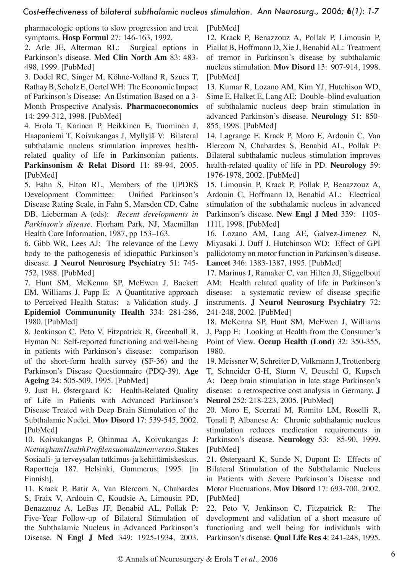pharmacologic options to slow progression and treat symptoms. **Hosp Formul** 27: 146-163, 1992.

<span id="page-5-1"></span>2. Arle JE, Alterman RL: Surgical options in Parkinson's disease. **Med Clin North Am** 83: 483- 498, 1999. [[PubMed\]](http://www.ncbi.nlm.nih.gov/entrez/query.fcgi?cmd=Retrieve&db=pubmed&dopt=Abstract&list_uids=10093589&query_hl=1&itool=pubmed_docsum)

<span id="page-5-0"></span>3. Dodel RC, Singer M, Köhne-Volland R, Szucs T, Rathay B,Scholz E,OertelWH: The Economic Impact of Parkinson's Disease: An Estimation Based on a 3- Month Prospective Analysis. **Pharmacoeconomics**  14: 299-312, 1998. [\[PubMed\]](http://www.ncbi.nlm.nih.gov/entrez/query.fcgi?cmd=Retrieve&db=pubmed&dopt=Abstract&list_uids=10186468&query_hl=3&itool=pubmed_docsum)

<span id="page-5-6"></span>4. Erola T, Karinen P, Heikkinen E, Tuominen J, Haapaniemi T, Koivukangas J, Myllylä V: Bilateral subthalamic nucleus stimulation improves healthrelated quality of life in Parkinsonian patients. **Parkinsonism & Relat Disord** 11: 89-94, 2005. [[PubMed\]](http://www.ncbi.nlm.nih.gov/entrez/query.fcgi?cmd=Retrieve&db=pubmed&dopt=Abstract&list_uids=15734666&query_hl=5&itool=pubmed_docsum)

<span id="page-5-7"></span>5. Fahn S, Elton RL, Members of the UPDRS Development Committee: Unified Parkinson's Disease Rating Scale, in Fahn S, Marsden CD, Calne DB, Lieberman A (eds): *Recent developments in Parkinson's disease*. Florham Park, NJ, Macmillan Health Care Information, 1987, pp 153–163.

<span id="page-5-10"></span>6. Gibb [WR, Lees A](http://www.ncbi.nlm.nih.gov/entrez/query.fcgi?cmd=Retrieve&db=pubmed&dopt=Abstract&list_uids=2841426&query_hl=7&itool=pubmed_docsum)J: The relevance of the Lewy body to the pathogenesis of idiopathic Parkinson's disease. **J Neurol Neurosurg Psychiatry** 51: 745- 752, 1988. [[PubMed\]](http://www.ncbi.nlm.nih.gov/entrez/query.fcgi?cmd=Retrieve&db=pubmed&dopt=Abstract&list_uids=2841426&query_hl=7&itool=pubmed_docsum)

<span id="page-5-8"></span>7. Hunt SM, McKenna SP, McEwen J, Backett EM, Williams J, Papp E: A Quantitative approach to Perceived Health Status: a Validation study. **J Epidemiol Commununity Health** 334: 281-286, 1980. [[PubMed\]](http://www.ncbi.nlm.nih.gov/entrez/query.fcgi?cmd=Retrieve&db=pubmed&dopt=Abstract&list_uids=7241028&query_hl=11&itool=pubmed_docsum)

<span id="page-5-11"></span>8. Jenkinson C, Peto V, Fitzpatrick R, Greenhall R, Hyman N: Self-reported functioning and well-being in patients with Parkinson's disease: comparison of the short-form health survey (SF-36) and the Parkinson's Disease Questionnaire (PDQ-39). **Age Ageing** 24: 505-509, 1995. [\[PubMed\]](http://www.ncbi.nlm.nih.gov/entrez/query.fcgi?cmd=Retrieve&db=pubmed&dopt=Abstract&list_uids=8588541&query_hl=15&itool=pubmed_docsum)

<span id="page-5-5"></span>9. Just H, Østergaard K: Health-Related Quality of Life in Patients with Advanced Parkinson's Disease Treated with Deep Brain Stimulation of the Subthalamic Nuclei. **Mov Disord** 17: 539-545, 2002. [[PubMed\]](http://www.ncbi.nlm.nih.gov/entrez/query.fcgi?cmd=Retrieve&db=pubmed&dopt=Abstract&list_uids=12112204&query_hl=17&itool=pubmed_docsum)

<span id="page-5-14"></span>10. Koivukangas P, Ohinmaa A, Koivukangas J: *Nottingham Health Profilen suomalainen versio*. Stakes Sosiaali- ja terveysalan tutkimus-ja kehittämiskeskus. Raportteja 187. Helsinki, Gummerus, 1995. [in Finnish].

<span id="page-5-2"></span>11. Krack P, Batir A, Van Blercom N, Chabardes S, Fraix V, Ardouin C, Koudsie A, Limousin PD, Benazzouz A, LeBas JF, Benabid AL, Pollak P: Five-Year Follow-up of Bilateral Stimulation of the Subthalamic Nucleus in Advanced Parkinson's Disease. **N Engl J Med** 349: 1925-1934, 2003.

[[PubMed](http://www.ncbi.nlm.nih.gov/entrez/query.fcgi?cmd=Retrieve&db=pubmed&dopt=Abstract&list_uids=14614167&query_hl=19&itool=pubmed_docsum)]

12. Krack P, Benazzouz A, Pollak P, Limousin P, Piallat B, Hoffmann D, Xie J, Benabid AL: Treatment of tremor in Parkinson's disease by subthalamic nucleus stimulation. **Mov Disord** 13: 907-914, 1998. [[PubMed](http://www.ncbi.nlm.nih.gov/entrez/query.fcgi?cmd=Retrieve&db=pubmed&dopt=Abstract&list_uids=9827614&query_hl=21&itool=pubmed_docsum)]

13. Kumar R, Lozano AM, Kim YJ, Hutchison WD, Sime E, Halket E, Lang AE: Double–blind evaluation of subthalamic nucleus deep brain stimulation in advanced Parkinson's disease. **Neurology** 51: 850- 855, 1998. [[PubMed](http://www.ncbi.nlm.nih.gov/entrez/query.fcgi?cmd=Retrieve&db=pubmed&dopt=Abstract&list_uids=9748038&query_hl=23&itool=pubmed_docsum)]

<span id="page-5-4"></span>14. Lagrange E, Krack P, Moro E, Ardouin C, Van Blercom N, Chabardes S, Benabid AL, Pollak P: Bilateral subthalamic nucleus stimulation improves health-related quality of life in PD. **Neurology** 59: 1976-1978, 2002. [[PubMed](http://www.ncbi.nlm.nih.gov/entrez/query.fcgi?cmd=Retrieve&db=pubmed&dopt=Abstract&list_uids=12499496&query_hl=25&itool=pubmed_docsum)]

<span id="page-5-17"></span>15. Limousin P, Krack P, Pollak P, Benazzouz A, Ardouin C, Hoffmann D, Benabid AL: Electrical stimulation of the subthalamic nucleus in advanced Parkinson´s disease. **New Engl J Med** 339: 1105- 1111, 1998. [\[PubMed\]](http://www.ncbi.nlm.nih.gov/entrez/query.fcgi?cmd=Retrieve&db=pubmed&dopt=Abstract&list_uids=9770557&query_hl=27&itool=pubmed_docsum)

16. Lozano AM, Lang AE, Galvez-Jimenez N, Miyasaki J, Duff J, Hutchinson WD: Effect of GPI pallidotomy on motor function in Parkinson's disease. **Lancet** 346: 1383-1387, 1995. [\[PubMed\]](http://www.ncbi.nlm.nih.gov/entrez/query.fcgi?cmd=Retrieve&db=pubmed&dopt=Abstract&list_uids=7475819&query_hl=29&itool=pubmed_docsum)

<span id="page-5-12"></span>17. Marinus J, Ramaker C, van Hilten JJ, Stiggelbout AM: Health related quality of life in Parkinson's disease: a systematic review of disease specific instruments. **J Neurol Neurosurg Psychiatry** 72: 241-248, 2002. [[PubMed](http://www.ncbi.nlm.nih.gov/entrez/query.fcgi?cmd=Retrieve&db=pubmed&dopt=Abstract&list_uids=11796776&query_hl=31&itool=pubmed_docsum)]

<span id="page-5-13"></span>18. McKenna SP, Hunt SM, McEwen J, Williams J, Papp E: Looking at Health from the Consumer's Point of View. **Occup Health (Lond)** 32: 350-355, 1980.

<span id="page-5-15"></span>19. Meissner W, Schreiter D, Volkmann J, Trottenberg T, Schneider G-H, Sturm V, Deuschl G, Kupsch A: Deep brain stimulation in late stage Parkinson's disease: a retrospective cost analysis in Germany. **J Neurol** 252: 218-223, 2005. [\[PubMed\]](http://www.ncbi.nlm.nih.gov/entrez/query.fcgi?cmd=Retrieve&db=pubmed&dopt=Abstract&list_uids=15729530&query_hl=33&itool=pubmed_docsum)

<span id="page-5-3"></span>20. Moro E, Scerrati M, Romito LM, Roselli R, Tonali P, Albanese A: Chronic subthalamic nucleus stimulation reduces medication requirements in Parkinson's disease. **Neurology** 53: 85-90, 1999. [[PubMed](http://www.ncbi.nlm.nih.gov/entrez/query.fcgi?cmd=Retrieve&db=pubmed&dopt=Abstract&list_uids=10408541&query_hl=35&itool=pubmed_docsum)]

<span id="page-5-16"></span>21. Østergaard K, Sunde N, Dupont E: Effects of Bilateral Stimulation of the Subthalamic Nucleus in Patients with Severe Parkinson's Disease and Motor Fluctuations. **Mov Disord** 17: 693-700, 2002. [[PubMed](http://www.ncbi.nlm.nih.gov/entrez/query.fcgi?cmd=Retrieve&db=pubmed&dopt=Abstract&list_uids=12210858&query_hl=37&itool=pubmed_docsum)]

<span id="page-5-9"></span>22. Peto V, Jenkinson C, Fitzpatrick R: The development and validation of a short measure of functioning and well being for individuals with Parkinson's disease. **Qual Life Res** 4: 241-248, 1995.